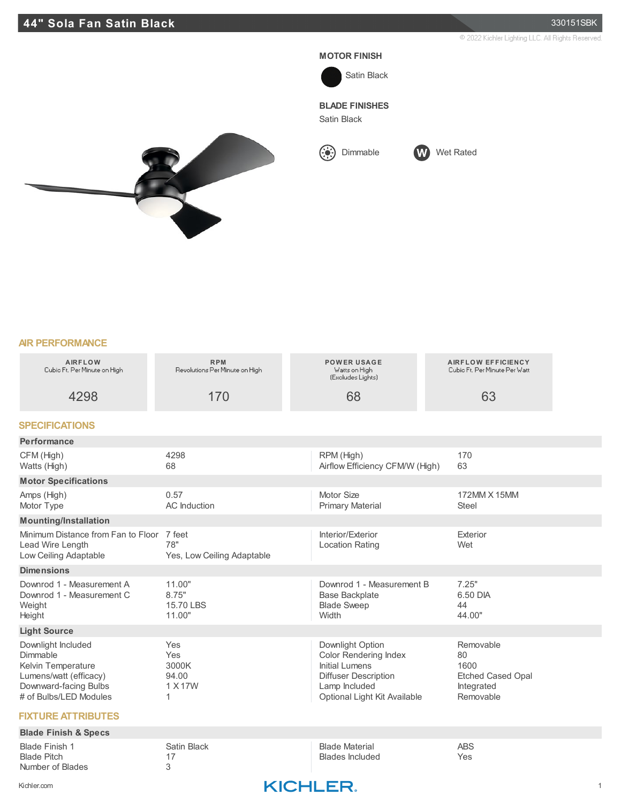2022 Kichler Lighting LLC. All Rights Reserved.

## **MOTOR FINISH**



**BLADE FINISHES**

Satin Black





**AIR PERFORMANCE**

| <b>AIRFLOW</b><br>Cubic Ft. Per Minute on High                                                                                    | <b>RPM</b><br>Revolutions Per Minute on High | <b>POWER USAGE</b><br>Watts on High<br>(Excludes Lights)                                                                                                  | <b>AIRFLOW EFFICIENCY</b><br>Cubic Ft. Per Minute Per Watt                     |  |
|-----------------------------------------------------------------------------------------------------------------------------------|----------------------------------------------|-----------------------------------------------------------------------------------------------------------------------------------------------------------|--------------------------------------------------------------------------------|--|
| 4298                                                                                                                              | 170                                          | 68                                                                                                                                                        | 63                                                                             |  |
| <b>SPECIFICATIONS</b>                                                                                                             |                                              |                                                                                                                                                           |                                                                                |  |
| Performance                                                                                                                       |                                              |                                                                                                                                                           |                                                                                |  |
| CFM (High)<br>Watts (High)                                                                                                        | 4298<br>68                                   | RPM (High)<br>Airflow Efficiency CFM/W (High)                                                                                                             | 170<br>63                                                                      |  |
| <b>Motor Specifications</b>                                                                                                       |                                              |                                                                                                                                                           |                                                                                |  |
| Amps (High)<br>Motor Type                                                                                                         | 0.57<br>AC Induction                         | Motor Size<br><b>Primary Material</b>                                                                                                                     | 172MM X 15MM<br><b>Steel</b>                                                   |  |
| <b>Mounting/Installation</b>                                                                                                      |                                              |                                                                                                                                                           |                                                                                |  |
| Minimum Distance from Fan to Floor 7 feet<br>Lead Wire Length<br>Low Ceiling Adaptable                                            | 78"<br>Yes, Low Ceiling Adaptable            | Interior/Exterior<br><b>Location Rating</b>                                                                                                               | Exterior<br>Wet                                                                |  |
| <b>Dimensions</b>                                                                                                                 |                                              |                                                                                                                                                           |                                                                                |  |
| Downrod 1 - Measurement A<br>Downrod 1 - Measurement C<br>Weight<br>Height                                                        | 11.00"<br>8.75"<br>15.70 LBS<br>11.00"       | Downrod 1 - Measurement B<br><b>Base Backplate</b><br><b>Blade Sweep</b><br>Width                                                                         | 7.25"<br>6.50 DIA<br>44<br>44.00"                                              |  |
| <b>Light Source</b>                                                                                                               |                                              |                                                                                                                                                           |                                                                                |  |
| Downlight Included<br>Dimmable<br>Kelvin Temperature<br>Lumens/watt (efficacy)<br>Downward-facing Bulbs<br># of Bulbs/LED Modules | Yes<br>Yes<br>3000K<br>94.00<br>1 X 17W      | Downlight Option<br><b>Color Rendering Index</b><br><b>Initial Lumens</b><br><b>Diffuser Description</b><br>Lamp Included<br>Optional Light Kit Available | Removable<br>80<br>1600<br><b>Etched Cased Opal</b><br>Integrated<br>Removable |  |
| <b>FIXTURE ATTRIBUTES</b>                                                                                                         |                                              |                                                                                                                                                           |                                                                                |  |

## **Blade Finish & Specs** Blade Finish 1 Satin Black Blade Material ABS<br>Blade Pitch 17 17 17 Blades Included Yes 17 Blades Included 3 Number of Blades